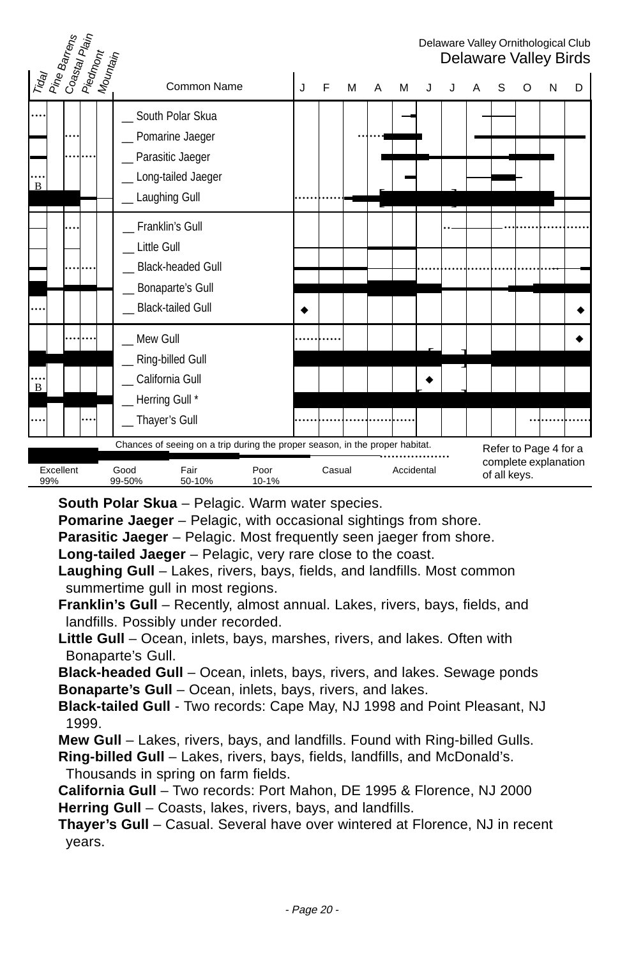#### Delaware Valley Ornithological Club Delaware Valley Birds Tiday Pine Barrens<br>Coastal Plain<br>Piedmont<br>Mountain Common Name J J F M A M J J A S O N D South Polar Skua Pomarine Jaeger Parasitic Jaeger Long-tailed Jaeger Laughing Gull Franklin's Gull Little Gull Black-headed Gull \_\_ Bonaparte's Gull Black-tailed Gull Mew Gull Ring-billed Gull California Gull Herring Gull \* Thayer's Gull .... .... ........ .... B ....... ............. [ ] .... ........ .... .. ...................... .....................................  $\bullet$  | | | | | | | | | | | |  $\bullet$ ........ .... .... .... B ............ !  $\bullet$ ............................... ................  $\blacksquare$ |-<br>|-<br>|-Excellent Good Fair Poor Casual Accidental 99% 99-50% 50-10% 10-1% Chances of seeing on a trip during the proper season, in the proper habitat. Refer to Page 4 for a complete explanation of all keys.

**South Polar Skua** – Pelagic. Warm water species.

**Pomarine Jaeger** – Pelagic, with occasional sightings from shore.

**Parasitic Jaeger** – Pelagic. Most frequently seen jaeger from shore.

**Long-tailed Jaeger** – Pelagic, very rare close to the coast.

- **Laughing Gull** Lakes, rivers, bays, fields, and landfills. Most common summertime gull in most regions.
- **Franklin's Gull** Recently, almost annual. Lakes, rivers, bays, fields, and landfills. Possibly under recorded.
- **Little Gull** Ocean, inlets, bays, marshes, rivers, and lakes. Often with Bonaparte's Gull.

**Black-headed Gull** – Ocean, inlets, bays, rivers, and lakes. Sewage ponds **Bonaparte's Gull** – Ocean, inlets, bays, rivers, and lakes.

**Black-tailed Gull** - Two records: Cape May, NJ 1998 and Point Pleasant, NJ 1999.

**Mew Gull** – Lakes, rivers, bays, and landfills. Found with Ring-billed Gulls.

**Ring-billed Gull** – Lakes, rivers, bays, fields, landfills, and McDonald's. Thousands in spring on farm fields.

**California Gull** – Two records: Port Mahon, DE 1995 & Florence, NJ 2000 **Herring Gull** – Coasts, lakes, rivers, bays, and landfills.

**Thayer's Gull** – Casual. Several have over wintered at Florence, NJ in recent years.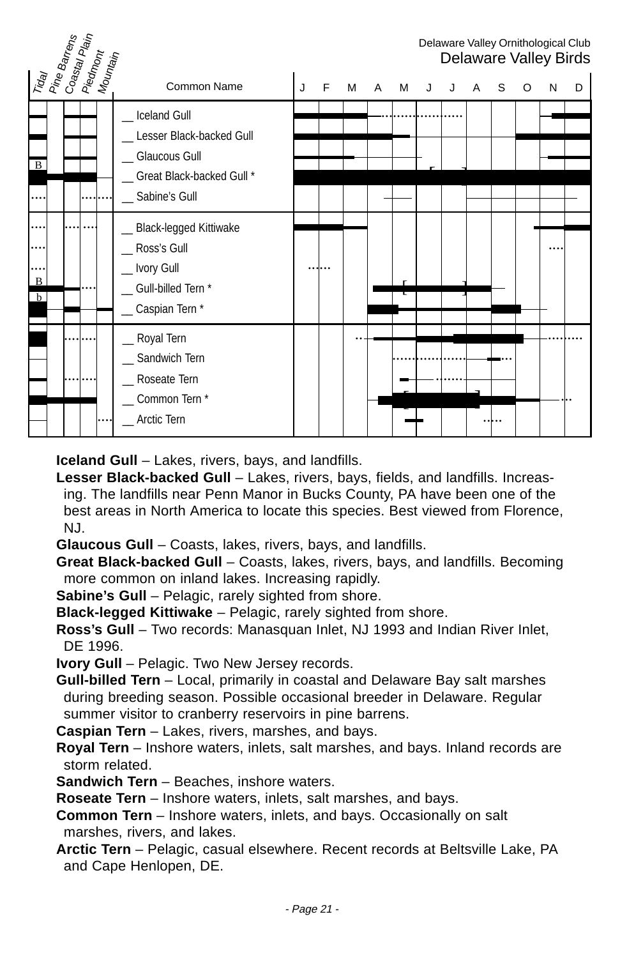|                | Tiday<br>Pine Barrens<br>Coastay Plain<br>Neomann<br>Mountain |  |                                                                                                                  |   |   |   |                |   |   |   |   |   |   |   | Delaware Valley Ornithological Club<br>Delaware Valley Birds |
|----------------|---------------------------------------------------------------|--|------------------------------------------------------------------------------------------------------------------|---|---|---|----------------|---|---|---|---|---|---|---|--------------------------------------------------------------|
|                |                                                               |  | Common Name                                                                                                      | J | F | M | $\overline{A}$ | М | J | J | A | S | O | N | D                                                            |
| $\overline{B}$ |                                                               |  | <b>Iceland Gull</b><br>Lesser Black-backed Gull<br>Glaucous Gull<br>_ Great Black-backed Gull *<br>Sabine's Gull |   |   |   |                |   |   |   |   |   |   |   |                                                              |
| .<br>B<br>b    |                                                               |  | _ Black-legged Kittiwake<br>Ross's Gull<br>_ Ivory Gull<br>_Gull-billed Tern*<br>_ Caspian Tern *                |   |   |   |                |   |   |   |   |   |   |   |                                                              |
|                |                                                               |  | _ Royal Tern<br>Sandwich Tern<br>Roseate Tern<br>Common Tern *<br>Arctic Tern                                    |   |   |   |                |   |   |   |   |   |   |   |                                                              |

**Iceland Gull** – Lakes, rivers, bays, and landfills.

- **Lesser Black-backed Gull** Lakes, rivers, bays, fields, and landfills. Increasing. The landfills near Penn Manor in Bucks County, PA have been one of the best areas in North America to locate this species. Best viewed from Florence, NJ.
- **Glaucous Gull** Coasts, lakes, rivers, bays, and landfills.
- **Great Black-backed Gull** Coasts, lakes, rivers, bays, and landfills. Becoming more common on inland lakes. Increasing rapidly.
- **Sabine's Gull** Pelagic, rarely sighted from shore.
- **Black-legged Kittiwake** Pelagic, rarely sighted from shore.
- **Ross's Gull** Two records: Manasquan Inlet, NJ 1993 and Indian River Inlet, DE 1996.

**Ivory Gull** – Pelagic. Two New Jersey records.

**Gull-billed Tern** – Local, primarily in coastal and Delaware Bay salt marshes during breeding season. Possible occasional breeder in Delaware. Regular summer visitor to cranberry reservoirs in pine barrens.

**Caspian Tern** – Lakes, rivers, marshes, and bays.

- **Royal Tern** Inshore waters, inlets, salt marshes, and bays. Inland records are storm related.
- **Sandwich Tern** Beaches, inshore waters.

**Roseate Tern** – Inshore waters, inlets, salt marshes, and bays.

- **Common Tern** Inshore waters, inlets, and bays. Occasionally on salt marshes, rivers, and lakes.
- **Arctic Tern** Pelagic, casual elsewhere. Recent records at Beltsville Lake, PA and Cape Henlopen, DE.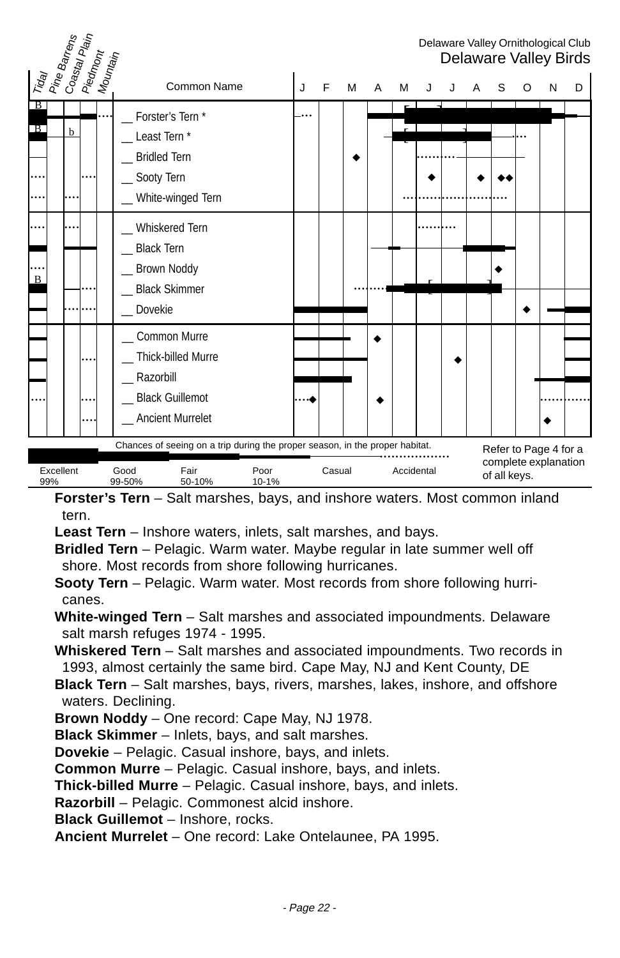

**Forster's Tern** – Salt marshes, bays, and inshore waters. Most common inland tern.

**Least Tern** – Inshore waters, inlets, salt marshes, and bays.

**Bridled Tern** – Pelagic. Warm water. Maybe regular in late summer well off shore. Most records from shore following hurricanes.

**Sooty Tern** – Pelagic. Warm water. Most records from shore following hurricanes.

**White-winged Tern** – Salt marshes and associated impoundments. Delaware salt marsh refuges 1974 - 1995.

**Whiskered Tern** – Salt marshes and associated impoundments. Two records in 1993, almost certainly the same bird. Cape May, NJ and Kent County, DE

**Black Tern** – Salt marshes, bays, rivers, marshes, lakes, inshore, and offshore waters. Declining.

**Brown Noddy** – One record: Cape May, NJ 1978.

**Black Skimmer** – Inlets, bays, and salt marshes.

**Dovekie** – Pelagic. Casual inshore, bays, and inlets.

**Common Murre** – Pelagic. Casual inshore, bays, and inlets.

**Thick-billed Murre** – Pelagic. Casual inshore, bays, and inlets.

**Razorbill** – Pelagic. Commonest alcid inshore.

**Black Guillemot** – Inshore, rocks.

**Ancient Murrelet** – One record: Lake Ontelaunee, PA 1995.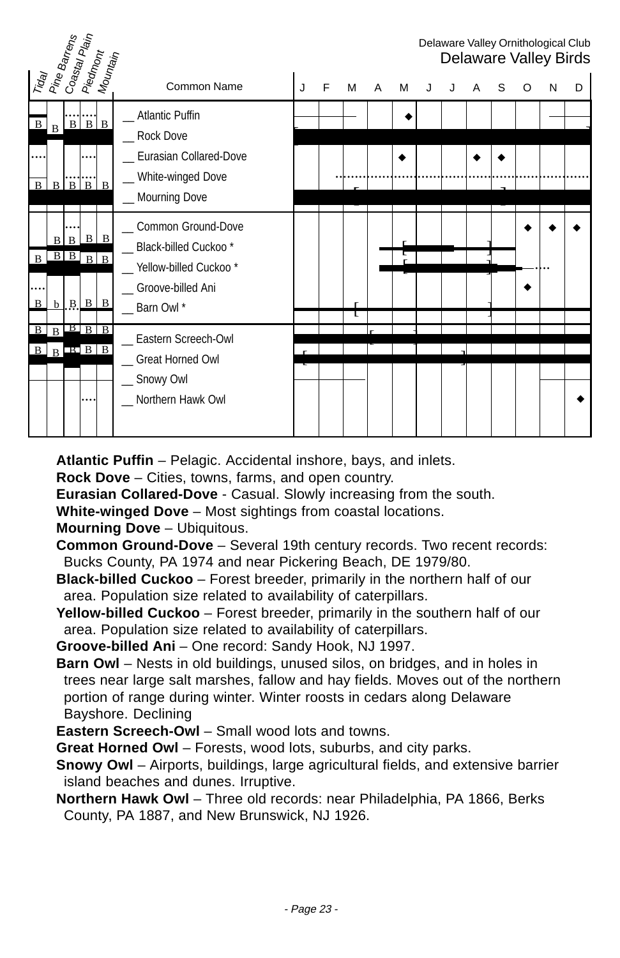| Traay<br>Pine Barrens |              | Coastal Plain<br>  Piedmont                   |             |                      |                                                                                                |   |   |   |   |   |   |   |   |   |   |   | Delaware Valley Ornithological Club<br>Delaware Valley Birds |
|-----------------------|--------------|-----------------------------------------------|-------------|----------------------|------------------------------------------------------------------------------------------------|---|---|---|---|---|---|---|---|---|---|---|--------------------------------------------------------------|
|                       |              |                                               |             | Mounta <sub>in</sub> | <b>Common Name</b>                                                                             | J | F | м | A | м | J | J | A | S | O | N | D                                                            |
| $\, {\bf B}$          | $\mathbf{B}$ | $\mathbf{B}$                                  | $B \mid B$  |                      | _ Atlantic Puffin<br><b>Rock Dove</b>                                                          |   |   |   |   |   |   |   |   |   |   |   |                                                              |
| $\mathbf{B}$          |              | $B$ $B$ $B$ $B$                               |             |                      | _ Eurasian Collared-Dove<br>_ White-winged Dove<br>_ Mourning Dove                             |   |   |   |   |   |   |   |   |   |   |   |                                                              |
| $\mathbf{B}$          | вI           | $\mathbf{B}$<br>$B \overline{B} \overline{B}$ |             | $B \mid B$           | _ Common Ground-Dove<br>_ Black-billed Cuckoo*<br>_ Yellow-billed Cuckoo*<br>Groove-billed Ani |   |   |   |   |   |   |   |   |   |   |   |                                                              |
| B<br>B<br>B           | $\mathbf{R}$ | $b$ $B$ $B$ $B$<br>$R$ B B                    | $B$ $B$ $B$ |                      | Barn Owl*<br>_ Eastern Screech-Owl                                                             |   |   |   |   |   |   |   |   |   |   |   |                                                              |
|                       |              |                                               |             |                      | Great Horned Owl<br>Snowy Owl<br>Northern Hawk Owl                                             |   |   |   |   |   |   |   |   |   |   |   |                                                              |

**Atlantic Puffin** – Pelagic. Accidental inshore, bays, and inlets.

**Rock Dove** – Cities, towns, farms, and open country.

**Eurasian Collared-Dove** - Casual. Slowly increasing from the south.

**White-winged Dove** – Most sightings from coastal locations.

**Mourning Dove** – Ubiquitous.

- **Common Ground-Dove** Several 19th century records. Two recent records: Bucks County, PA 1974 and near Pickering Beach, DE 1979/80.
- **Black-billed Cuckoo** Forest breeder, primarily in the northern half of our area. Population size related to availability of caterpillars.
- **Yellow-billed Cuckoo** Forest breeder, primarily in the southern half of our area. Population size related to availability of caterpillars.

**Groove-billed Ani** – One record: Sandy Hook, NJ 1997.

**Barn Owl** – Nests in old buildings, unused silos, on bridges, and in holes in trees near large salt marshes, fallow and hay fields. Moves out of the northern portion of range during winter. Winter roosts in cedars along Delaware Bayshore. Declining

**Eastern Screech-Owl** – Small wood lots and towns.

**Great Horned Owl** – Forests, wood lots, suburbs, and city parks.

**Snowy Owl** – Airports, buildings, large agricultural fields, and extensive barrier island beaches and dunes. Irruptive.

**Northern Hawk Owl** – Three old records: near Philadelphia, PA 1866, Berks County, PA 1887, and New Brunswick, NJ 1926.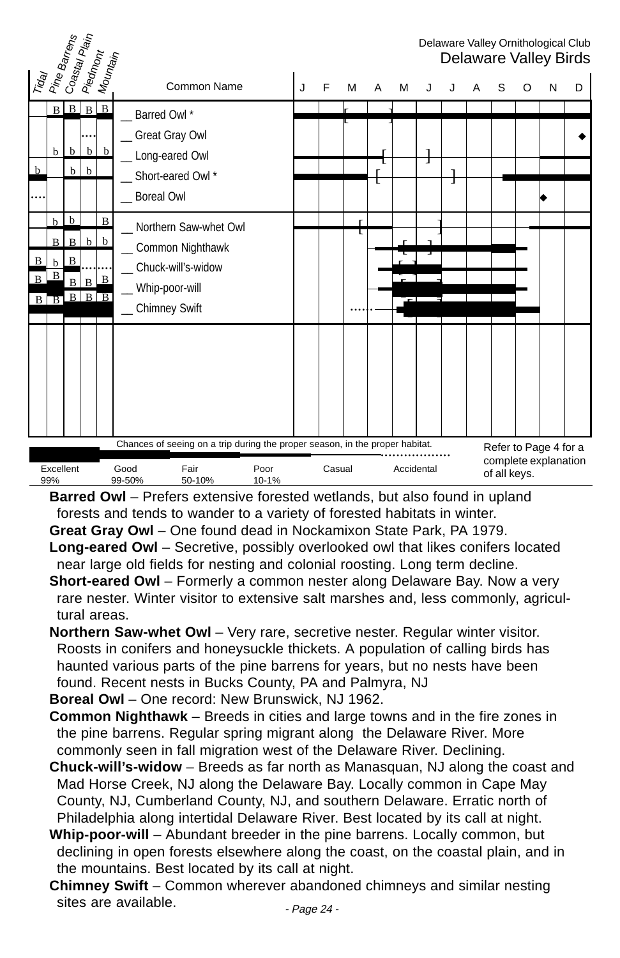| Trday<br>Pine Barrens<br>  Coastal Plain<br>Delaware Valley Ornithological Club<br>Piedmont<br>Mounta <sub>in</sub><br>Delaware Valley Birds |                                               |                                                                    |                            |                    |                                  |                                                                                   |               |                                                                                                                      |   |        |   |   |  |   |  |   |                                               |   |   |  |
|----------------------------------------------------------------------------------------------------------------------------------------------|-----------------------------------------------|--------------------------------------------------------------------|----------------------------|--------------------|----------------------------------|-----------------------------------------------------------------------------------|---------------|----------------------------------------------------------------------------------------------------------------------|---|--------|---|---|--|---|--|---|-----------------------------------------------|---|---|--|
|                                                                                                                                              |                                               |                                                                    |                            |                    |                                  | Common Name                                                                       |               | J                                                                                                                    | F | м      | A | М |  |   |  | S | O                                             | N | D |  |
| $\mathbf b$                                                                                                                                  | b                                             | $B \mid B$<br>$\mathbf b$<br>$\mathbf b$                           | $\mathbf b$<br>b           | $B \Box B$<br>b    | Barred Owl*<br><b>Boreal Owl</b> | _Great Gray Owl<br>_ Long-eared Owl<br>Short-eared Owl *                          |               |                                                                                                                      |   |        | L |   |  | I |  |   |                                               |   |   |  |
| B<br>$\overline{B}$<br>$\mathbf{B}$                                                                                                          | b<br><sub>B</sub><br>b<br>B<br>$\overline{B}$ | $\mathbf b$<br>$\mathbf{B}$<br>B<br>$\overline{B}$<br>$\, {\bf B}$ | b<br>B<br>$B \overline{B}$ | $\bf{B}$<br>b<br>B | _Chimney Swift                   | Northern Saw-whet Owl<br>Common Nighthawk<br>Chuck-will's-widow<br>Whip-poor-will |               |                                                                                                                      |   | г<br>τ |   |   |  |   |  |   |                                               |   |   |  |
| Excellent<br>99%                                                                                                                             |                                               |                                                                    |                            |                    | Good<br>99-50%                   | Fair<br>50-10%                                                                    | Poor<br>10-1% | Chances of seeing on a trip during the proper season, in the proper habitat.<br>Casual<br>Accidental<br>of all keys. |   |        |   |   |  |   |  |   | Refer to Page 4 for a<br>complete explanation |   |   |  |

**Barred Owl** – Prefers extensive forested wetlands, but also found in upland forests and tends to wander to a variety of forested habitats in winter. **Great Gray Owl** – One found dead in Nockamixon State Park, PA 1979.

- **Long-eared Owl** Secretive, possibly overlooked owl that likes conifers located near large old fields for nesting and colonial roosting. Long term decline.
- **Short-eared Owl** Formerly a common nester along Delaware Bay. Now a very rare nester. Winter visitor to extensive salt marshes and, less commonly, agricultural areas.
- **Northern Saw-whet Owl** Very rare, secretive nester. Regular winter visitor. Roosts in conifers and honeysuckle thickets. A population of calling birds has haunted various parts of the pine barrens for years, but no nests have been found. Recent nests in Bucks County, PA and Palmyra, NJ

**Boreal Owl** – One record: New Brunswick, NJ 1962.

- **Common Nighthawk** Breeds in cities and large towns and in the fire zones in the pine barrens. Regular spring migrant along the Delaware River. More commonly seen in fall migration west of the Delaware River. Declining.
- **Chuck-will's-widow** Breeds as far north as Manasquan, NJ along the coast and Mad Horse Creek, NJ along the Delaware Bay. Locally common in Cape May County, NJ, Cumberland County, NJ, and southern Delaware. Erratic north of Philadelphia along intertidal Delaware River. Best located by its call at night.
- **Whip-poor-will** Abundant breeder in the pine barrens. Locally common, but declining in open forests elsewhere along the coast, on the coastal plain, and in the mountains. Best located by its call at night.
- **Chimney Swift** Common wherever abandoned chimneys and similar nesting sites are available.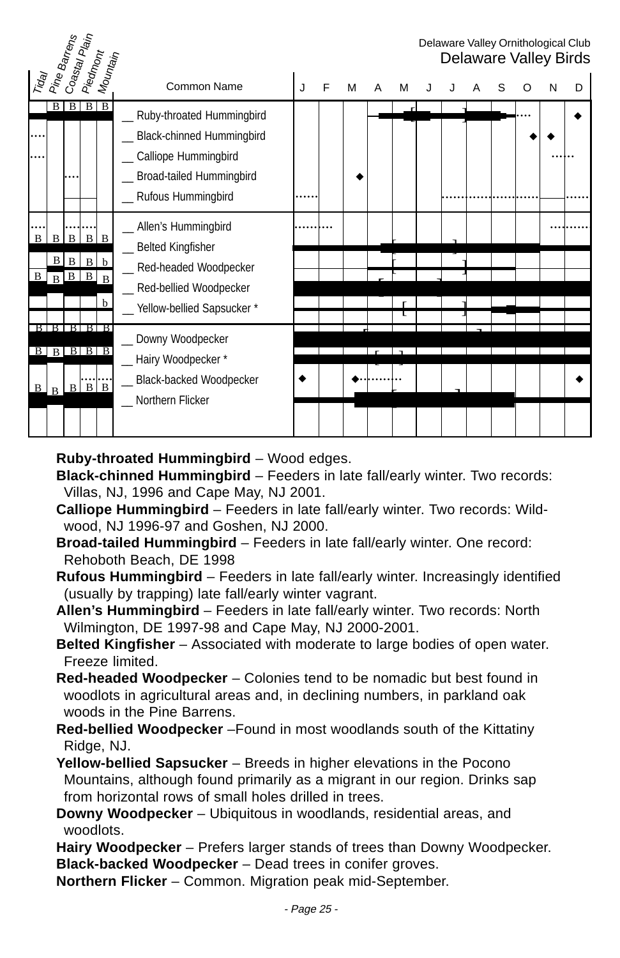|        | Pine Barrens                                               | Coastal Plain                                 | Piedmont          |                      |                                                                                                                                      |   |   |   |   |   |  |  |   | Delaware Valley Ornithological Club<br>Delaware Valley Birds |
|--------|------------------------------------------------------------|-----------------------------------------------|-------------------|----------------------|--------------------------------------------------------------------------------------------------------------------------------------|---|---|---|---|---|--|--|---|--------------------------------------------------------------|
| Trag   |                                                            |                                               |                   | Mounta <sub>in</sub> | Common Name                                                                                                                          | J | F | м | A | м |  |  | N | D                                                            |
|        | B                                                          |                                               | $B \mid B \mid B$ |                      | _ Ruby-throated Hummingbird<br>Black-chinned Hummingbird<br>Calliope Hummingbird<br>Broad-tailed Hummingbird<br>_ Rufous Hummingbird |   |   |   |   |   |  |  |   |                                                              |
| B<br>B | B                                                          | $\mathbf{B}$<br>$B \mid B$<br>$B$ $B$ $B$ $B$ | $B \mid B$        | B b<br>$\mathbf b$   | _ Allen's Hummingbird<br>_ Belted Kingfisher<br>_ Red-headed Woodpecker<br>_ Red-bellied Woodpecker<br>Yellow-bellied Sapsucker*     |   |   |   |   |   |  |  |   |                                                              |
| B      | B I B I B I B I B<br>$B$ $B$ $B$ $B$ $B$<br>$\overline{R}$ | B                                             | $B \mid B$        |                      | _ Downy Woodpecker<br>_ Hairy Woodpecker*<br>Black-backed Woodpecker<br>Northern Flicker                                             |   |   |   |   |   |  |  |   |                                                              |

**Ruby-throated Hummingbird** – Wood edges.

**Black-chinned Hummingbird** – Feeders in late fall/early winter. Two records: Villas, NJ, 1996 and Cape May, NJ 2001.

- **Calliope Hummingbird** Feeders in late fall/early winter. Two records: Wildwood, NJ 1996-97 and Goshen, NJ 2000.
- **Broad-tailed Hummingbird** Feeders in late fall/early winter. One record: Rehoboth Beach, DE 1998
- **Rufous Hummingbird** Feeders in late fall/early winter. Increasingly identified (usually by trapping) late fall/early winter vagrant.
- **Allen's Hummingbird** Feeders in late fall/early winter. Two records: North Wilmington, DE 1997-98 and Cape May, NJ 2000-2001.
- **Belted Kingfisher** Associated with moderate to large bodies of open water. Freeze limited.
- **Red-headed Woodpecker** Colonies tend to be nomadic but best found in woodlots in agricultural areas and, in declining numbers, in parkland oak woods in the Pine Barrens.
- **Red-bellied Woodpecker** –Found in most woodlands south of the Kittatiny Ridge, NJ.
- **Yellow-bellied Sapsucker** Breeds in higher elevations in the Pocono Mountains, although found primarily as a migrant in our region. Drinks sap from horizontal rows of small holes drilled in trees.
- **Downy Woodpecker** Ubiquitous in woodlands, residential areas, and woodlots.
- **Hairy Woodpecker** Prefers larger stands of trees than Downy Woodpecker. **Black-backed Woodpecker** – Dead trees in conifer groves.
- **Northern Flicker** Common. Migration peak mid-September.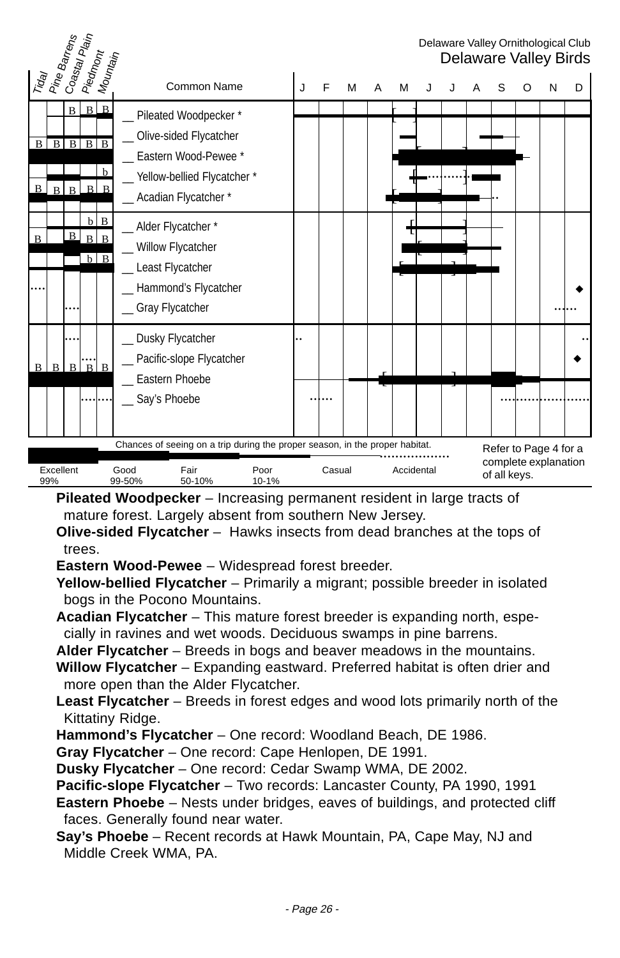

**Pileated Woodpecker** – Increasing permanent resident in large tracts of mature forest. Largely absent from southern New Jersey.

**Olive-sided Flycatcher** – Hawks insects from dead branches at the tops of trees.

**Eastern Wood-Pewee** – Widespread forest breeder.

**Yellow-bellied Flycatcher** – Primarily a migrant; possible breeder in isolated bogs in the Pocono Mountains.

**Acadian Flycatcher** – This mature forest breeder is expanding north, especially in ravines and wet woods. Deciduous swamps in pine barrens.

**Alder Flycatcher** – Breeds in bogs and beaver meadows in the mountains.

- **Willow Flycatcher**  Expanding eastward. Preferred habitat is often drier and more open than the Alder Flycatcher.
- **Least Flycatcher** Breeds in forest edges and wood lots primarily north of the Kittatiny Ridge.
- **Hammond's Flycatcher** One record: Woodland Beach, DE 1986.

**Gray Flycatcher** – One record: Cape Henlopen, DE 1991.

**Dusky Flycatcher** – One record: Cedar Swamp WMA, DE 2002.

**Pacific-slope Flycatcher** – Two records: Lancaster County, PA 1990, 1991

**Eastern Phoebe** – Nests under bridges, eaves of buildings, and protected cliff faces. Generally found near water.

**Say's Phoebe** – Recent records at Hawk Mountain, PA, Cape May, NJ and Middle Creek WMA, PA.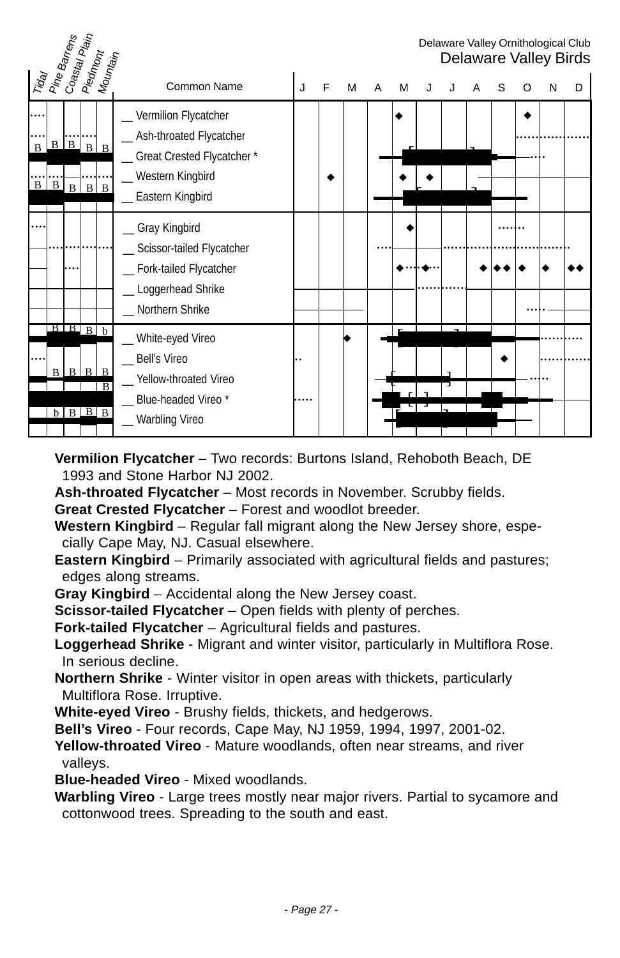| Trday<br>  Pine Barrens      |                                     | Coastal Piain<br>  Piedmont<br>  Mountain |            |   |                                                                                                                              |   |   |   |   |   |  |   |   |   | Delaware Valley Ornithological Club<br>Delaware Valley Birds |
|------------------------------|-------------------------------------|-------------------------------------------|------------|---|------------------------------------------------------------------------------------------------------------------------------|---|---|---|---|---|--|---|---|---|--------------------------------------------------------------|
|                              |                                     |                                           |            |   | Common Name                                                                                                                  | J | F | м | A | M |  | S | O | N | D                                                            |
| $\mathbf{B}$<br>$\mathbf{B}$ | $B$ $B$ $B$ $B$<br>$B$ <sub>B</sub> |                                           | $B \mid B$ |   | _ Vermilion Flycatcher<br>_ Ash-throated Flycatcher<br>_ Great Crested Flycatcher*<br>Western Kingbird<br>_ Eastern Kingbird |   |   |   |   |   |  |   |   |   |                                                              |
|                              |                                     | .                                         |            |   | _ Gray Kingbird<br>Scissor-tailed Flycatcher<br>_ Fork-tailed Flycatcher<br>_ Loggerhead Shrike<br>Northern Shrike           |   |   |   |   |   |  |   |   |   |                                                              |
|                              | $B$ $B$ $B$ $b$                     | $B$ $B$ $B$ $B$<br>$b$ $B$ $B$ $B$        |            | B | White-eyed Vireo<br><b>Bell's Vireo</b><br>Yellow-throated Vireo<br>Blue-headed Vireo*<br>Warbling Vireo                     |   |   |   |   |   |  |   |   |   |                                                              |

**Vermilion Flycatcher** – Two records: Burtons Island, Rehoboth Beach, DE 1993 and Stone Harbor NJ 2002.

**Ash-throated Flycatcher** – Most records in November. Scrubby fields.

**Great Crested Flycatcher** – Forest and woodlot breeder.

**Western Kingbird** – Regular fall migrant along the New Jersey shore, especially Cape May, NJ. Casual elsewhere.

**Eastern Kingbird** – Primarily associated with agricultural fields and pastures; edges along streams.

**Gray Kingbird** – Accidental along the New Jersey coast.

**Scissor-tailed Flycatcher** – Open fields with plenty of perches.

**Fork-tailed Flycatcher** – Agricultural fields and pastures.

**Loggerhead Shrike** - Migrant and winter visitor, particularly in Multiflora Rose. In serious decline.

**Northern Shrike** - Winter visitor in open areas with thickets, particularly Multiflora Rose. Irruptive.

**White-eyed Vireo** - Brushy fields, thickets, and hedgerows.

**Bell's Vireo** - Four records, Cape May, NJ 1959, 1994, 1997, 2001-02.

**Yellow-throated Vireo** - Mature woodlands, often near streams, and river valleys.

**Blue-headed Vireo** - Mixed woodlands.

**Warbling Vireo** - Large trees mostly near major rivers. Partial to sycamore and cottonwood trees. Spreading to the south and east.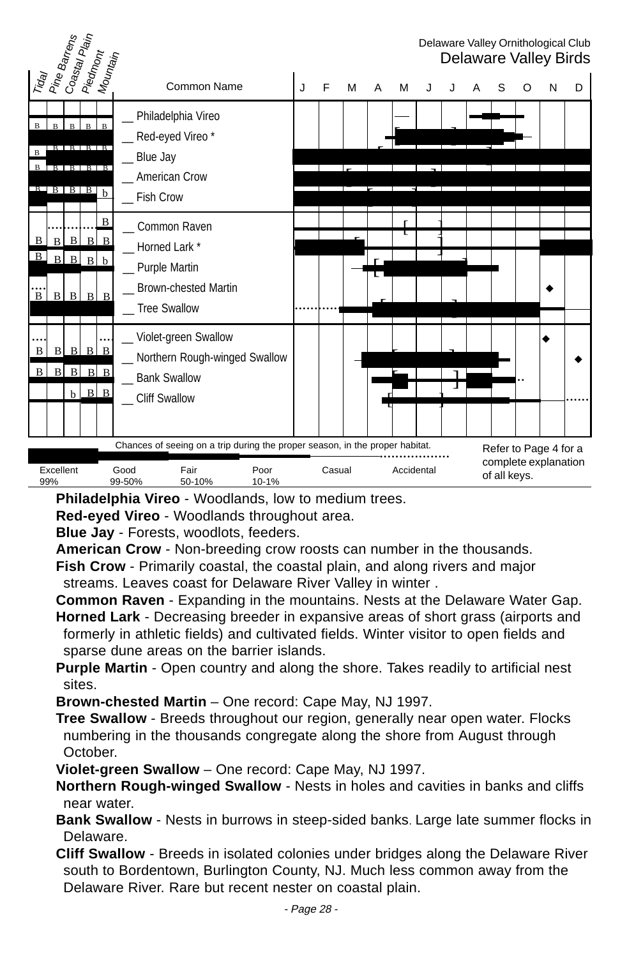

**Philadelphia Vireo** - Woodlands, low to medium trees.

**Red-eyed Vireo** - Woodlands throughout area.

**Blue Jay** - Forests, woodlots, feeders.

**American Crow** - Non-breeding crow roosts can number in the thousands.

**Fish Crow** - Primarily coastal, the coastal plain, and along rivers and major streams. Leaves coast for Delaware River Valley in winter .

**Common Raven** - Expanding in the mountains. Nests at the Delaware Water Gap.

- **Horned Lark** Decreasing breeder in expansive areas of short grass (airports and formerly in athletic fields) and cultivated fields. Winter visitor to open fields and sparse dune areas on the barrier islands.
- **Purple Martin** Open country and along the shore. Takes readily to artificial nest sites.

**Brown-chested Martin** – One record: Cape May, NJ 1997.

- **Tree Swallow** Breeds throughout our region, generally near open water. Flocks numbering in the thousands congregate along the shore from August through October.
- **Violet-green Swallow** One record: Cape May, NJ 1997.
- **Northern Rough-winged Swallow** Nests in holes and cavities in banks and cliffs near water.
- **Bank Swallow** Nests in burrows in steep-sided banks. Large late summer flocks in Delaware.
- **Cliff Swallow** Breeds in isolated colonies under bridges along the Delaware River south to Bordentown, Burlington County, NJ. Much less common away from the Delaware River. Rare but recent nester on coastal plain.